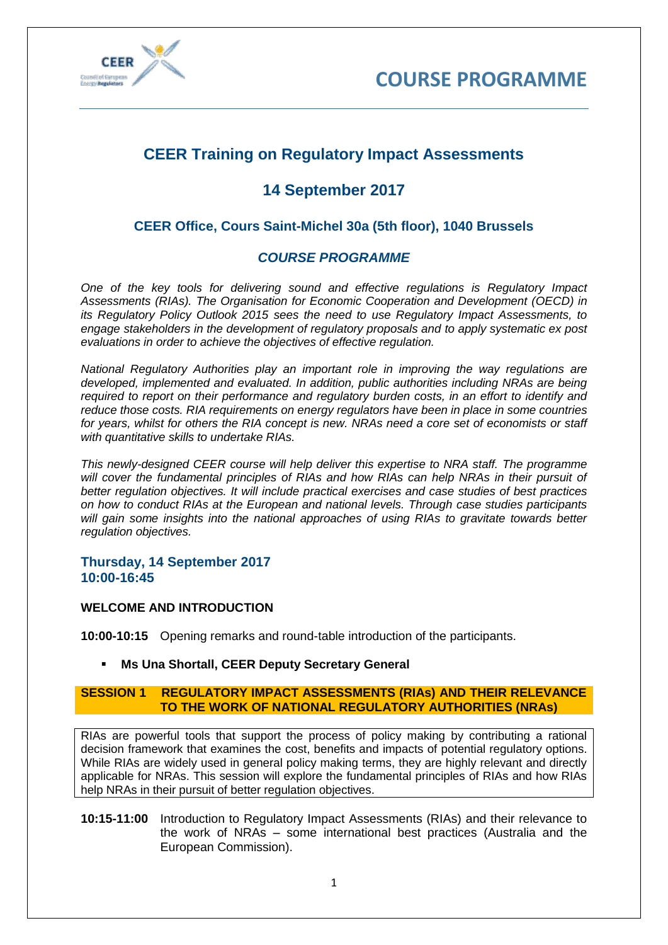



# **CEER Training on Regulatory Impact Assessments**

## **14 September 2017**

## **CEER Office, Cours Saint-Michel 30a (5th floor), 1040 Brussels**

## *COURSE PROGRAMME*

*One of the key tools for delivering sound and effective regulations is Regulatory Impact Assessments (RIAs). The Organisation for Economic Cooperation and Development (OECD) in its Regulatory Policy Outlook 2015 sees the need to use Regulatory Impact Assessments, to engage stakeholders in the development of regulatory proposals and to apply systematic ex post evaluations in order to achieve the objectives of effective regulation.* 

*National Regulatory Authorities play an important role in improving the way regulations are developed, implemented and evaluated. In addition, public authorities including NRAs are being required to report on their performance and regulatory burden costs, in an effort to identify and reduce those costs. RIA requirements on energy regulators have been in place in some countries for years, whilst for others the RIA concept is new. NRAs need a core set of economists or staff with quantitative skills to undertake RIAs.* 

*This newly-designed CEER course will help deliver this expertise to NRA staff. The programme*  will cover the fundamental principles of RIAs and how RIAs can help NRAs in their pursuit of *better regulation objectives. It will include practical exercises and case studies of best practices on how to conduct RIAs at the European and national levels. Through case studies participants will gain some insights into the national approaches of using RIAs to gravitate towards better regulation objectives.* 

## **Thursday, 14 September 2017 10:00-16:45**

#### **WELCOME AND INTRODUCTION**

**10:00-10:15** Opening remarks and round-table introduction of the participants.

#### **Ms Una Shortall, CEER Deputy Secretary General**

#### **SESSION 1 REGULATORY IMPACT ASSESSMENTS (RIAs) AND THEIR RELEVANCE TO THE WORK OF NATIONAL REGULATORY AUTHORITIES (NRAs)**

RIAs are powerful tools that support the process of policy making by contributing a rational decision framework that examines the cost, benefits and impacts of potential regulatory options. While RIAs are widely used in general policy making terms, they are highly relevant and directly applicable for NRAs. This session will explore the fundamental principles of RIAs and how RIAs help NRAs in their pursuit of better regulation objectives.

**10:15-11:00** Introduction to Regulatory Impact Assessments (RIAs) and their relevance to the work of NRAs – some international best practices (Australia and the European Commission).